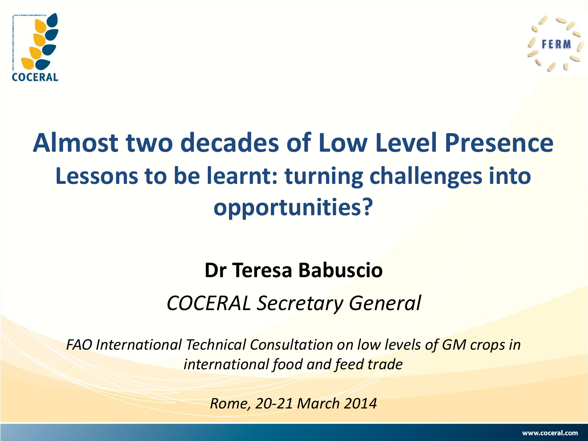



# **Almost two decades of Low Level Presence Lessons to be learnt: turning challenges into opportunities?**

# **Dr Teresa Babuscio**  *COCERAL Secretary General*

*FAO International Technical Consultation on low levels of GM crops in international food and feed trade* 

*Rome, 20-21 March 2014*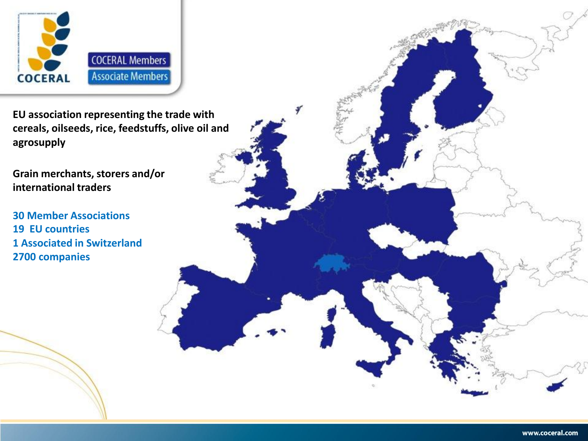

**EU association representing the trade with cereals, oilseeds, rice, feedstuffs, olive oil and agrosupply**

**Grain merchants, storers and/or international traders**

**30 Member Associations 19 EU countries 1 Associated in Switzerland 2700 companies**

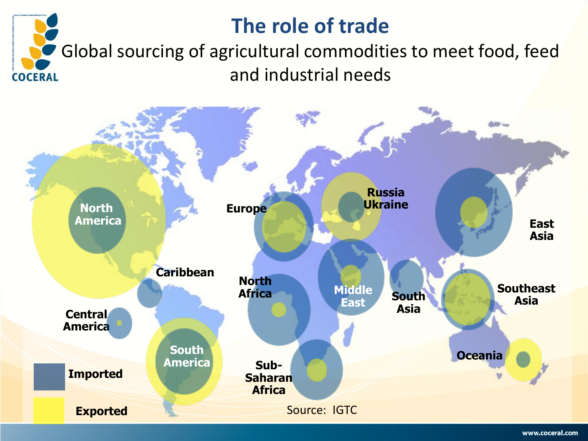## **The role of trade**

Global sourcing of agricultural commodities to meet food, feed and industrial needs **COCERAL** 

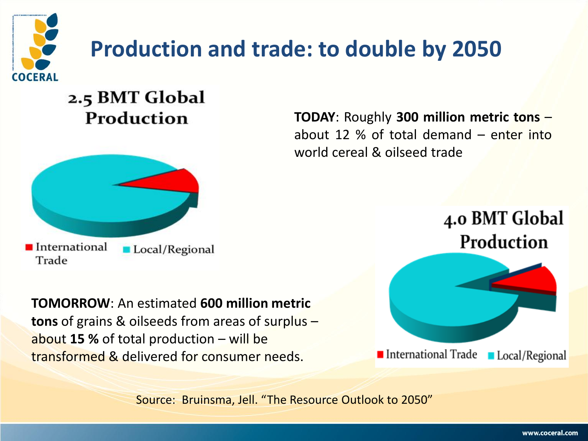

# **Production and trade: to double by 2050**

#### 2.5 BMT Global Production



**TOMORROW**: An estimated **600 million metric tons** of grains & oilseeds from areas of surplus – about **15 %** of total production – will be transformed & delivered for consumer needs.

**TODAY**: Roughly **300 million metric tons** – about 12 % of total demand – enter into world cereal & oilseed trade

> 4.0 BMT Global Production



Source: Bruinsma, Jell. "The Resource Outlook to 2050"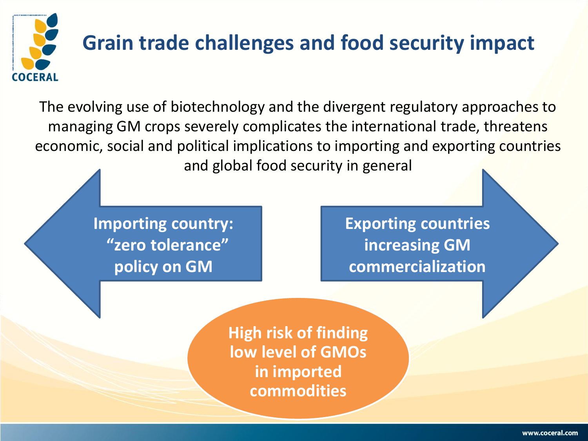

## **Grain trade challenges and food security impact**

The evolving use of biotechnology and the divergent regulatory approaches to managing GM crops severely complicates the international trade, threatens economic, social and political implications to importing and exporting countries and global food security in general

> **Importing country: "zero tolerance" policy on GM**

**Exporting countries increasing GM commercialization**

**High risk of finding low level of GMOs in imported commodities**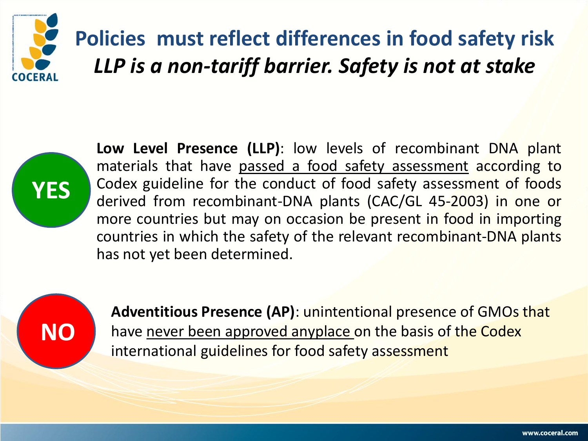

# **Policies must reflect differences in food safety risk** *LLP is a non-tariff barrier. Safety is not at stake*



**Low Level Presence (LLP)**: low levels of recombinant DNA plant materials that have passed a food safety assessment according to Codex guideline for the conduct of food safety assessment of foods derived from recombinant-DNA plants (CAC/GL 45-2003) in one or more countries but may on occasion be present in food in importing countries in which the safety of the relevant recombinant-DNA plants has not yet been determined.



**Adventitious Presence (AP)**: unintentional presence of GMOs that have never been approved anyplace on the basis of the Codex international guidelines for food safety assessment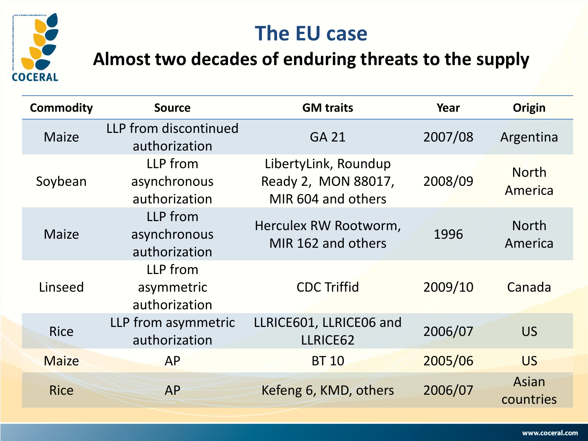



#### **Almost two decades of enduring threats to the supply**

| <b>Commodity</b> | <b>Source</b>                             | <b>GM traits</b>                                                  | Year    | <b>Origin</b>           |
|------------------|-------------------------------------------|-------------------------------------------------------------------|---------|-------------------------|
| <b>Maize</b>     | LLP from discontinued<br>authorization    | <b>GA 21</b>                                                      | 2007/08 | Argentina               |
| Soybean          | LLP from<br>asynchronous<br>authorization | LibertyLink, Roundup<br>Ready 2, MON 88017,<br>MIR 604 and others | 2008/09 | <b>North</b><br>America |
| <b>Maize</b>     | LLP from<br>asynchronous<br>authorization | Herculex RW Rootworm,<br>MIR 162 and others                       | 1996    | <b>North</b><br>America |
| Linseed          | LLP from<br>asymmetric<br>authorization   | <b>CDC Triffid</b>                                                | 2009/10 | Canada                  |
| <b>Rice</b>      | LLP from asymmetric<br>authorization      | LLRICE601, LLRICE06 and<br>LLRICE62                               | 2006/07 | <b>US</b>               |
| <b>Maize</b>     | <b>AP</b>                                 | <b>BT 10</b>                                                      | 2005/06 | <b>US</b>               |
| <b>Rice</b>      | <b>AP</b>                                 | Kefeng 6, KMD, others                                             | 2006/07 | Asian<br>countries      |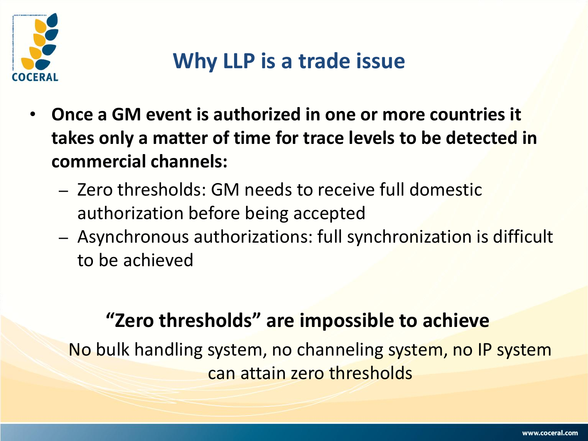

## **Why LLP is a trade issue**

- **Once a GM event is authorized in one or more countries it takes only a matter of time for trace levels to be detected in commercial channels:**
	- Zero thresholds: GM needs to receive full domestic authorization before being accepted
	- Asynchronous authorizations: full synchronization is difficult to be achieved

### **"Zero thresholds" are impossible to achieve**

No bulk handling system, no channeling system, no IP system can attain zero thresholds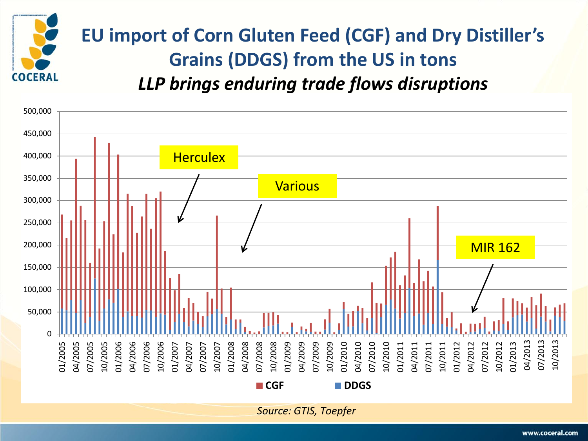

## **EU import of Corn Gluten Feed (CGF) and Dry Distiller's Grains (DDGS) from the US in tons** *LLP brings enduring trade flows disruptions*

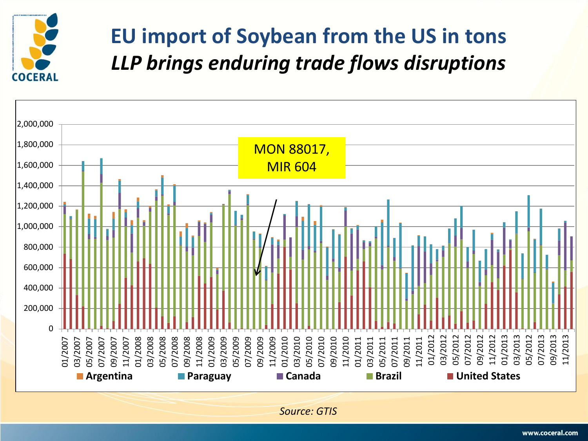

## **EU import of Soybean from the US in tons** *LLP brings enduring trade flows disruptions*



*Source: GTIS*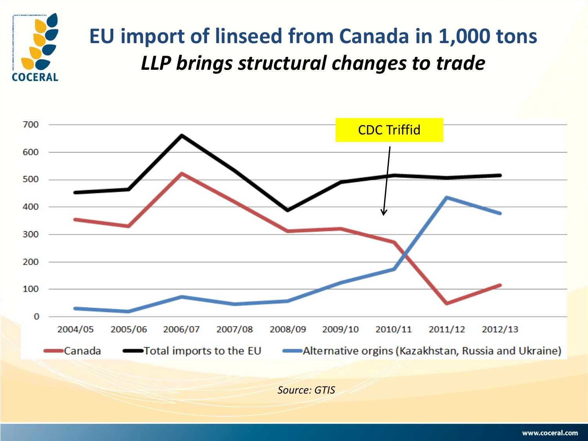

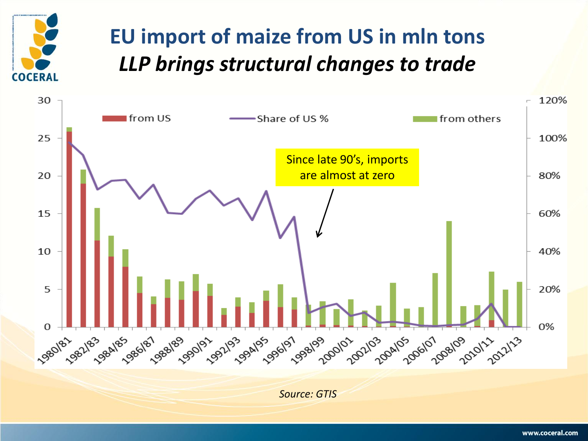

## **EU import of maize from US in mln tons**  *LLP brings structural changes to trade*

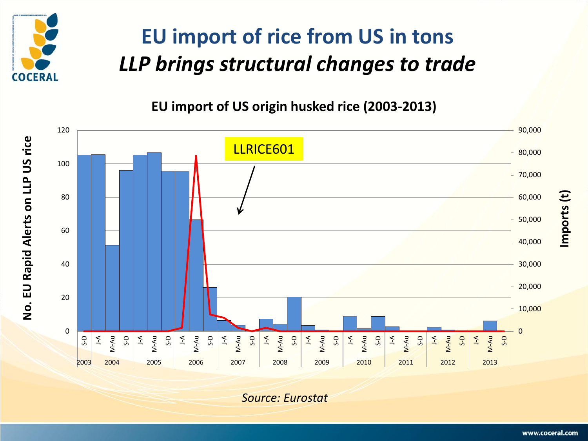

# **EU import of rice from US in tons**  *LLP brings structural changes to trade*

**EU import of US origin husked rice (2003-2013)**



*Source: Eurostat*

**Imports (t)**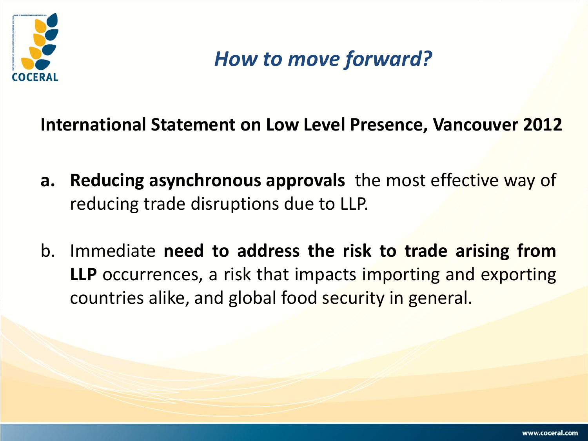

*How to move forward?*

**International Statement on Low Level Presence, Vancouver 2012**

- **a. Reducing asynchronous approvals** the most effective way of reducing trade disruptions due to LLP.
- b. Immediate **need to address the risk to trade arising from LLP** occurrences, a risk that impacts importing and exporting countries alike, and global food security in general.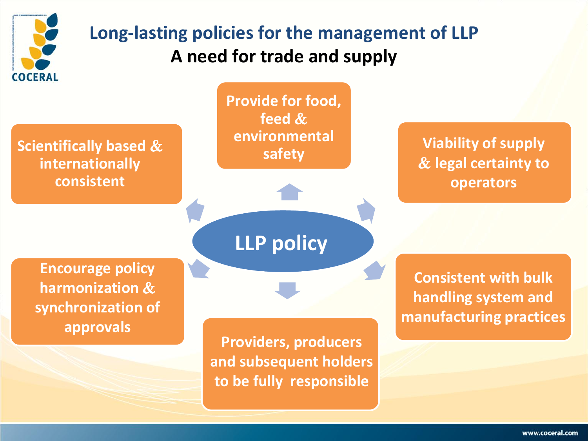

### **Long-lasting policies for the management of LLP A need for trade and supply**

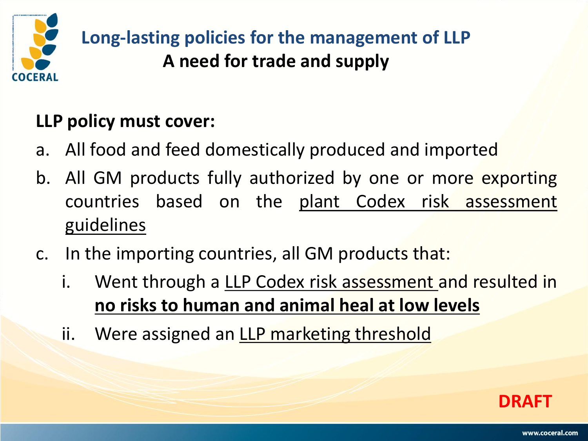

**Long-lasting policies for the management of LLP A need for trade and supply**

#### **LLP policy must cover:**

- a. All food and feed domestically produced and imported
- b. All GM products fully authorized by one or more exporting countries based on the plant Codex risk assessment guidelines
- c. In the importing countries, all GM products that:
	- i. Went through a LLP Codex risk assessment and resulted in **no risks to human and animal heal at low levels**
	- ii. Were assigned an LLP marketing threshold

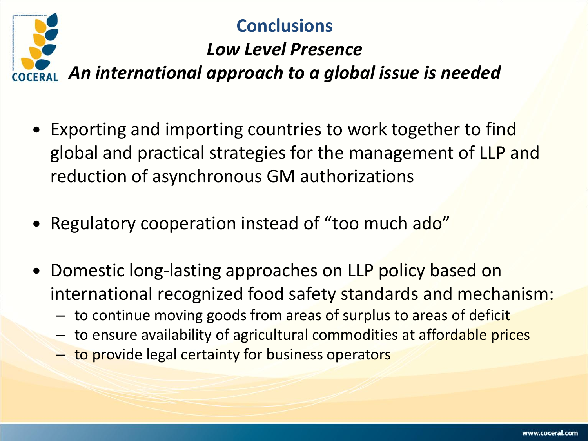

#### **Conclusions**

## *Low Level Presence*

*An international approach to a global issue is needed*

- Exporting and importing countries to work together to find global and practical strategies for the management of LLP and reduction of asynchronous GM authorizations
- Regulatory cooperation instead of "too much ado"
- Domestic long-lasting approaches on LLP policy based on international recognized food safety standards and mechanism:
	- to continue moving goods from areas of surplus to areas of deficit
	- to ensure availability of agricultural commodities at affordable prices
	- to provide legal certainty for business operators